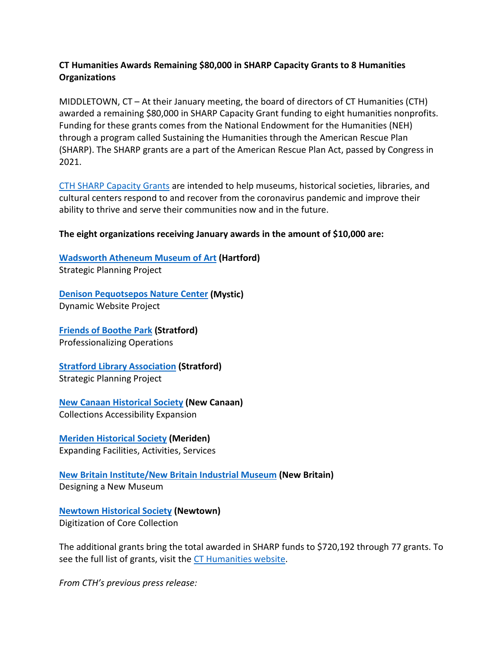## **CT Humanities Awards Remaining \$80,000 in SHARP Capacity Grants to 8 Humanities Organizations**

MIDDLETOWN, CT – At their January meeting, the board of directors of CT Humanities (CTH) awarded a remaining \$80,000 in SHARP Capacity Grant funding to eight humanities nonprofits. Funding for these grants comes from the National Endowment for the Humanities (NEH) through a program called Sustaining the Humanities through the American Rescue Plan (SHARP). The SHARP grants are a part of the American Rescue Plan Act, passed by Congress in 2021.

CTH SHARP [Capacity Grants](https://cthumanities.org/grants/sharp-grants/) are intended to help museums, historical societies, libraries, and cultural centers respond to and recover from the coronavirus pandemic and improve their ability to thrive and serve their communities now and in the future.

## **The eight organizations receiving January awards in the amount of \$10,000 are:**

**[Wadsworth Atheneum Museum of Art](https://www.thewadsworth.org/) (Hartford)** Strategic Planning Project

**[Denison Pequotsepos](https://dpnc.org/) Nature Center (Mystic)** Dynamic Website Project

**[Friends of Boothe Park](https://www.stratfordct.gov/content/39842/55334/55438.aspx) (Stratford)** Professionalizing Operations

**[Stratford Library Association](http://stratfordlibrary.org/) (Stratford)** Strategic Planning Project

**[New Canaan Historical Society](https://nchistory.org/) (New Canaan)** Collections Accessibility Expansion

**[Meriden Historical Society](https://meridenhistoricalsociety.org/) (Meriden)** Expanding Facilities, Activities, Services

**[New Britain Institute/New Britain Industrial Museum](https://nbindustrial.org/) (New Britain)** Designing a New Museum

**[Newtown Historical Society](http://www.newtownhistory.org/) (Newtown)** Digitization of Core Collection

The additional grants bring the total awarded in SHARP funds to \$720,192 through 77 grants. To see the full list of grants, visit the [CT Humanities website.](https://cthumanities.org/grants/sharp-grants/)

*From CTH's previous press release:*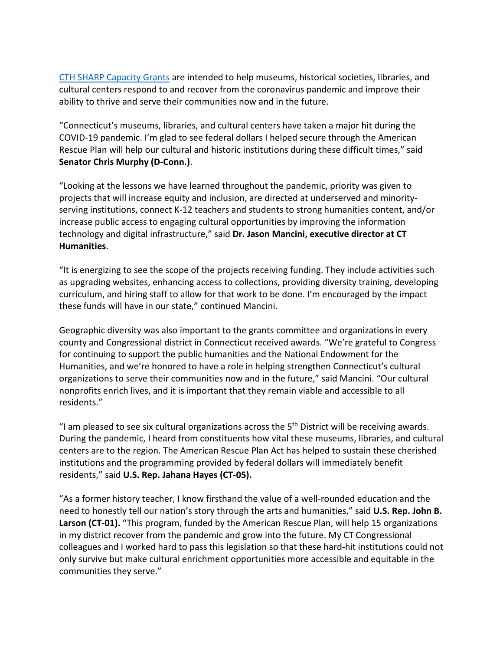[CTH SHARP Capacity Grants](https://cthumanities.org/grants/sharp-grants/) are intended to help museums, historical societies, libraries, and cultural centers respond to and recover from the coronavirus pandemic and improve their ability to thrive and serve their communities now and in the future.

"Connecticut's museums, libraries, and cultural centers have taken a major hit during the COVID-19 pandemic. I'm glad to see federal dollars I helped secure through the American Rescue Plan will help our cultural and historic institutions during these difficult times," said **Senator Chris Murphy (D-Conn.)**.

"Looking at the lessons we have learned throughout the pandemic, priority was given to projects that will increase equity and inclusion, are directed at underserved and minorityserving institutions, connect K-12 teachers and students to strong humanities content, and/or increase public access to engaging cultural opportunities by improving the information technology and digital infrastructure," said **Dr. Jason Mancini, executive director at CT Humanities**.

"It is energizing to see the scope of the projects receiving funding. They include activities such as upgrading websites, enhancing access to collections, providing diversity training, developing curriculum, and hiring staff to allow for that work to be done. I'm encouraged by the impact these funds will have in our state," continued Mancini.

Geographic diversity was also important to the grants committee and organizations in every county and Congressional district in Connecticut received awards. "We're grateful to Congress for continuing to support the public humanities and the National Endowment for the Humanities, and we're honored to have a role in helping strengthen Connecticut's cultural organizations to serve their communities now and in the future," said Mancini. "Our cultural nonprofits enrich lives, and it is important that they remain viable and accessible to all residents."

"I am pleased to see six cultural organizations across the  $5<sup>th</sup>$  District will be receiving awards. During the pandemic, I heard from constituents how vital these museums, libraries, and cultural centers are to the region. The American Rescue Plan Act has helped to sustain these cherished institutions and the programming provided by federal dollars will immediately benefit residents," said **U.S. Rep. Jahana Hayes (CT-05).**

"As a former history teacher, I know firsthand the value of a well-rounded education and the need to honestly tell our nation's story through the arts and humanities," said **U.S. Rep. John B. Larson (CT-01).** "This program, funded by the American Rescue Plan, will help 15 organizations in my district recover from the pandemic and grow into the future. My CT Congressional colleagues and I worked hard to pass this legislation so that these hard-hit institutions could not only survive but make cultural enrichment opportunities more accessible and equitable in the communities they serve."